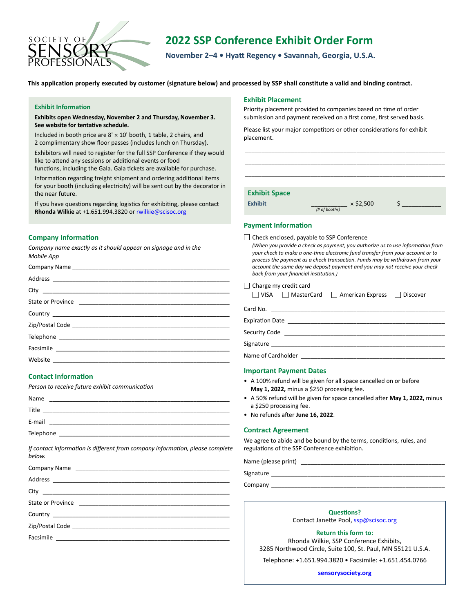

# **2022 SSP Conference Exhibit Order Form**

**November 2–4 • Hyatt Regency • Savannah, Georgia, U.S.A.**

**This application properly executed by customer (signature below) and processed by SSP shall constitute a valid and binding contract.** 

#### **Exhibit Information**

**Exhibits open Wednesday, November 2 and Thursday, November 3. See website for tentative schedule.**

Included in booth price are  $8' \times 10'$  booth, 1 table, 2 chairs, and 2 complimentary show floor passes (includes lunch on Thursday).

Exhibitors will need to register for the full SSP Conference if they would like to attend any sessions or additional events or food

functions, including the Gala. Gala tickets are available for purchase.

Information regarding freight shipment and ordering additional items for your booth (including electricity) will be sent out by the decorator in the near future.

If you have questions regarding logistics for exhibiting, please contact **Rhonda Wilkie** at +1.651.994.3820 or [rwilkie@scisoc.org](mailto:rwilkie%40scisoc.org?subject=SSP%20Conference%20Exhibiting)

# **Company Information**

*Company name exactly as it should appear on signage and in the Mobile App*

# **Contact Information**

*Person to receive future exhibit communication*

| Name      | <u> 1980 - Antonio Alemania, mpikambana amin'ny fivondronan-kaominin'i Paris (ny fivondronan-kaominin'i Paris (ny fivondronan-kaominin'i Paris (ny fivondronan-kaominin'i Paris (ny fivondronan-kaominin'i Paris (ny fivondronan</u> |  |  |
|-----------|--------------------------------------------------------------------------------------------------------------------------------------------------------------------------------------------------------------------------------------|--|--|
| Title     |                                                                                                                                                                                                                                      |  |  |
| E-mail    |                                                                                                                                                                                                                                      |  |  |
| Telephone |                                                                                                                                                                                                                                      |  |  |
|           |                                                                                                                                                                                                                                      |  |  |

*If contact information is different from company information, please complete below.*

| State or Province |                                                                        |  |  |  |
|-------------------|------------------------------------------------------------------------|--|--|--|
|                   | <b>Questions?</b>                                                      |  |  |  |
|                   | Contact Janette Pool, ssp@scisoc.org                                   |  |  |  |
|                   | <b>Return this form to:</b><br>Rhonda Wilkie, SSP Conference Exhibits, |  |  |  |

#### **Exhibit Placement**

Priority placement provided to companies based on time of order submission and payment received on a first come, first served basis.

Please list your major competitors or other considerations for exhibit placement.

| <b>Exhibit Space</b> |               |                  |  |
|----------------------|---------------|------------------|--|
| <b>Exhibit</b>       | (# of booths) | $\times$ \$2,500 |  |

\_\_\_\_\_\_\_\_\_\_\_\_\_\_\_\_\_\_\_\_\_\_\_\_\_\_\_\_\_\_\_\_\_\_\_\_\_\_\_\_\_\_\_\_\_\_\_\_\_\_\_\_\_\_\_\_\_\_\_\_\_

# **Payment Information**

□ Check enclosed, payable to SSP Conference

| (When you provide a check as payment, you authorize us to use information from |
|--------------------------------------------------------------------------------|
| your check to make a one-time electronic fund transfer from your account or to |
| process the payment as a check transaction. Funds may be withdrawn from your   |
| account the same day we deposit payment and you may not receive your check     |
| back from your financial institution.)                                         |

| Charge my credit card<br>□ VISA □ MasterCard □ American Express □ Discover |  |  |  |  |  |  |
|----------------------------------------------------------------------------|--|--|--|--|--|--|
| Card No.                                                                   |  |  |  |  |  |  |
| <b>Expiration Date</b>                                                     |  |  |  |  |  |  |
| Security Code                                                              |  |  |  |  |  |  |
| Signature                                                                  |  |  |  |  |  |  |

Name of Cardholder

#### **Important Payment Dates**

- A 100% refund will be given for all space cancelled on or before **May 1, 2022,** minus a \$250 processing fee.
- A 50% refund will be given for space cancelled after **May 1, 2022,** minus a \$250 processing fee.
- No refunds after **June 16, 2022**.

#### **Contract Agreement**

We agree to abide and be bound by the terms, conditions, rules, and regulations of the SSP Conference exhibition.

Name (please print)

**Return this form to:** Rhonda Wilkie, SSP Conference Exhibits, 3285 Northwood Circle, Suite 100, St. Paul, MN 55121 U.S.A.

Telephone: +1.651.994.3820 • Facsimile: +1.651.454.0766

**[sensorysociety.org](http://www.sensorysociety.org)**